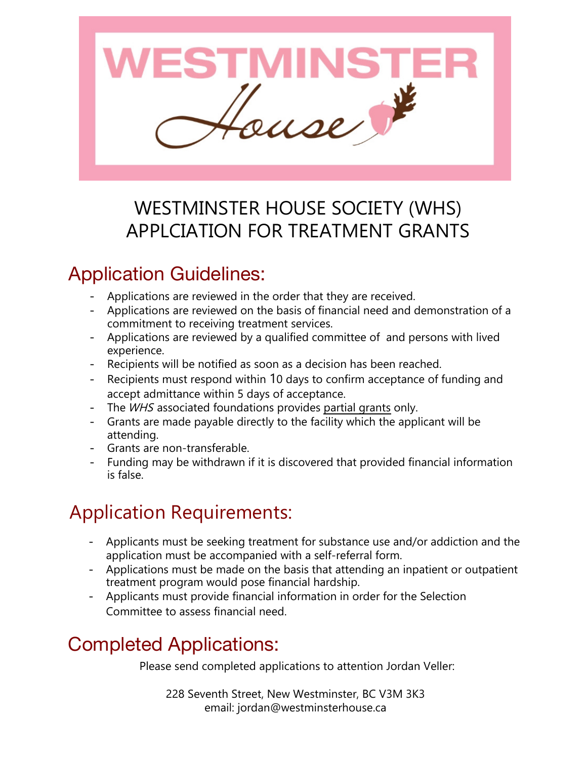

### WESTMINSTER HOUSE SOCIETY (WHS) APPLCIATION FOR TREATMENT GRANTS

### Application Guidelines:

- Applications are reviewed in the order that they are received.
- Applications are reviewed on the basis of financial need and demonstration of a commitment to receiving treatment services.
- Applications are reviewed by a qualified committee of and persons with lived experience.
- Recipients will be notified as soon as a decision has been reached.
- Recipients must respond within 10 days to confirm acceptance of funding and accept admittance within 5 days of acceptance.
- The *WHS* associated foundations provides partial grants only.
- Grants are made payable directly to the facility which the applicant will be attending.
- Grants are non-transferable.
- Funding may be withdrawn if it is discovered that provided financial information is false.

# Application Requirements:

- Applicants must be seeking treatment for substance use and/or addiction and the application must be accompanied with a self-referral form.
- Applications must be made on the basis that attending an inpatient or outpatient treatment program would pose financial hardship.
- Applicants must provide financial information in order for the Selection Committee to assess financial need.

### Completed Applications:

Please send completed applications to attention Jordan Veller:

228 Seventh Street, New Westminster, BC V3M 3K3 email: jordan@westminsterhouse.ca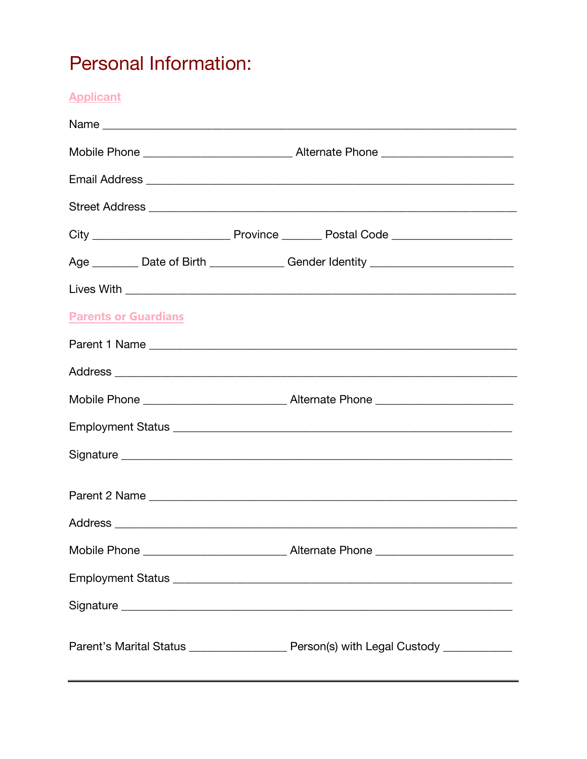## **Personal Information:**

**Applicant** 

|                             | Age _________ Date of Birth ______________ Gender Identity _____________________            |
|-----------------------------|---------------------------------------------------------------------------------------------|
|                             |                                                                                             |
| <b>Parents or Guardians</b> |                                                                                             |
|                             |                                                                                             |
|                             |                                                                                             |
|                             |                                                                                             |
|                             |                                                                                             |
|                             |                                                                                             |
|                             |                                                                                             |
|                             |                                                                                             |
|                             |                                                                                             |
|                             |                                                                                             |
|                             |                                                                                             |
|                             | Parent's Marital Status _________________________ Person(s) with Legal Custody ____________ |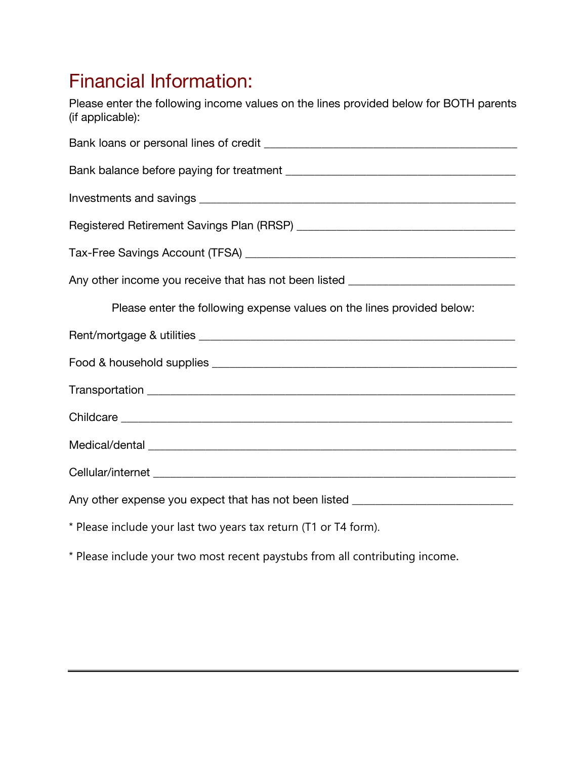### Financial Information:

Please enter the following income values on the lines provided below for BOTH parents (if applicable):

| Any other income you receive that has not been listed __________________________ |
|----------------------------------------------------------------------------------|
| Please enter the following expense values on the lines provided below:           |
|                                                                                  |
|                                                                                  |
|                                                                                  |
|                                                                                  |
|                                                                                  |
|                                                                                  |
| Any other expense you expect that has not been listed __________________________ |
| * Please include your last two years tax return (T1 or T4 form).                 |

- 
- \* Please include your two most recent paystubs from all contributing income.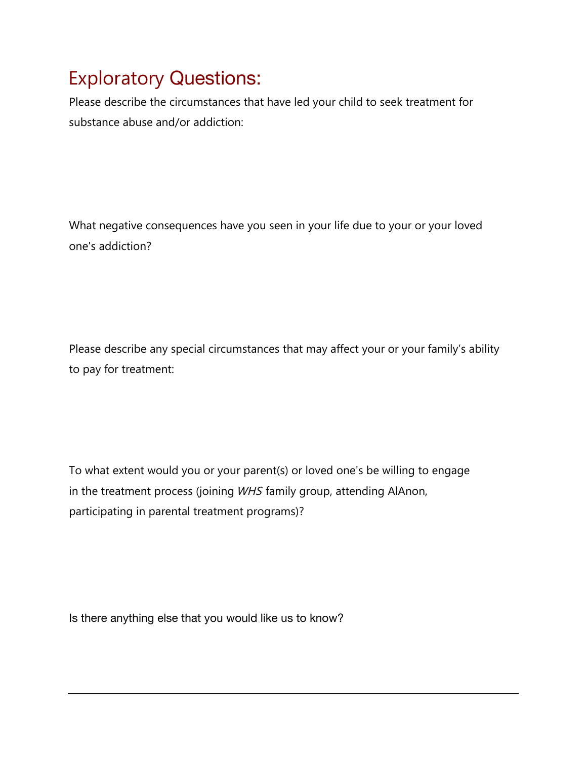## Exploratory Questions:

Please describe the circumstances that have led your child to seek treatment for substance abuse and/or addiction:

What negative consequences have you seen in your life due to your or your loved one's addiction?

Please describe any special circumstances that may affect your or your family's ability to pay for treatment:

To what extent would you or your parent(s) or loved one's be willing to engage in the treatment process (joining WHS family group, attending AlAnon, participating in parental treatment programs)?

Is there anything else that you would like us to know?